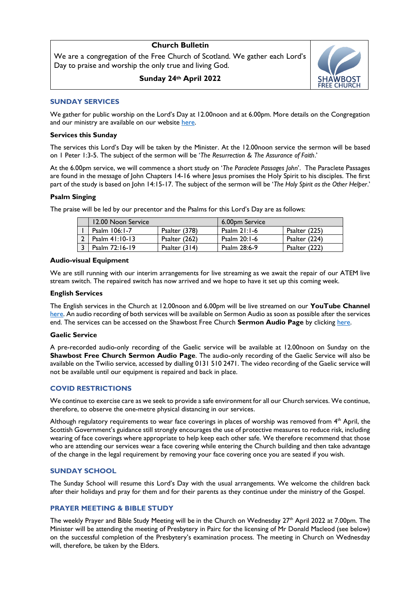# **Church Bulletin**

We are a congregation of the Free Church of Scotland. We gather each Lord's Day to praise and worship the only true and living God.

**Sunday 24th April 2022**



# **SUNDAY SERVICES**

We gather for public worship on the Lord's Day at 12.00noon and at 6.00pm. More details on the Congregation and our ministry are available on our website [here.](https://shawbostfreechurch.org/)

# **Services this Sunday**

The services this Lord's Day will be taken by the Minister. At the 12.00noon service the sermon will be based on 1 Peter 1:3-5. The subject of the sermon will be '*The Resurrection & The Assurance of Faith*.'

At the 6.00pm service, we will commence a short study on '*The Paraclete Passages John*'. The Paraclete Passages are found in the message of John Chapters 14-16 where Jesus promises the Holy Spirit to his disciples. The first part of the study is based on John 14:15-17. The subject of the sermon will be '*The Holy Spirit as the Other Helper*.'

### **Psalm Singing**

The praise will be led by our precentor and the Psalms for this Lord's Day are as follows:

| 12.00 Noon Service |                 | 6.00pm Service |               |
|--------------------|-----------------|----------------|---------------|
| Psalm 106:1-7      | Psalter (378)   | Psalm $21:1-6$ | Psalter (225) |
| Psalm $41:10-13$   | Psalter (262)   | Psalm 20:1-6   | Psalter (224) |
| Psalm 72:16-19     | Psalter $(314)$ | Psalm 28:6-9   | Psalter (222) |

#### **Audio-visual Equipment**

We are still running with our interim arrangements for live streaming as we await the repair of our ATEM live stream switch. The repaired switch has now arrived and we hope to have it set up this coming week.

#### **English Services**

The English services in the Church at 12.00noon and 6.00pm will be live streamed on our **YouTube Channel** [here.](https://www.youtube.com/channel/UC42KgHwA53YjnlpXyj8IU6g) An audio recording of both services will be available on Sermon Audio as soon as possible after the services end. The services can be accessed on the Shawbost Free Church **Sermon Audio Page** by clicking [here.](https://www.sermonaudio.com/source_detail.asp?sourceid=shawbostfreechurc)

#### **Gaelic Service**

A pre-recorded audio-only recording of the Gaelic service will be available at 12.00noon on Sunday on the **Shawbost Free Church Sermon Audio Page**. The audio-only recording of the Gaelic Service will also be available on the Twilio service, accessed by dialling 0131 510 2471. The video recording of the Gaelic service will not be available until our equipment is repaired and back in place.

# **COVID RESTRICTIONS**

We continue to exercise care as we seek to provide a safe environment for all our Church services. We continue, therefore, to observe the one-metre physical distancing in our services.

Although regulatory requirements to wear face coverings in places of worship was removed from 4<sup>th</sup> April, the Scottish Government's guidance still strongly encourages the use of protective measures to reduce risk, including wearing of face coverings where appropriate to help keep each other safe. We therefore recommend that those who are attending our services wear a face covering while entering the Church building and then take advantage of the change in the legal requirement by removing your face covering once you are seated if you wish.

### **SUNDAY SCHOOL**

The Sunday School will resume this Lord's Day with the usual arrangements. We welcome the children back after their holidays and pray for them and for their parents as they continue under the ministry of the Gospel.

# **PRAYER MEETING & BIBLE STUDY**

The weekly Prayer and Bible Study Meeting will be in the Church on Wednesday 27<sup>th</sup> April 2022 at 7.00pm. The Minister will be attending the meeting of Presbytery in Pairc for the licensing of Mr Donald Macleod (see below) on the successful completion of the Presbytery's examination process. The meeting in Church on Wednesday will, therefore, be taken by the Elders.